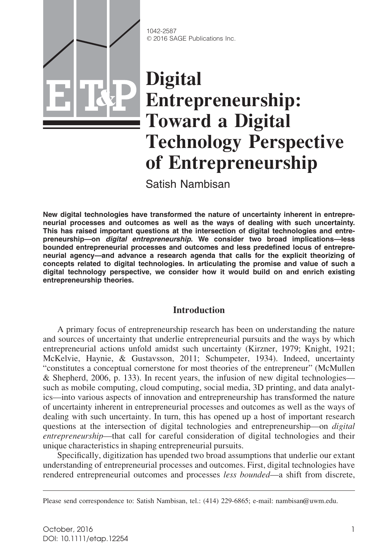

Entrepreneurship: Toward a Digital Technology Perspective of Entrepreneurship

Satish Nambisan

New digital technologies have transformed the nature of uncertainty inherent in entrepreneurial processes and outcomes as well as the ways of dealing with such uncertainty. This has raised important questions at the intersection of digital technologies and entrepreneurship—on digital entrepreneurship. We consider two broad implications—less bounded entrepreneurial processes and outcomes and less predefined locus of entrepreneurial agency—and advance a research agenda that calls for the explicit theorizing of concepts related to digital technologies. In articulating the promise and value of such a digital technology perspective, we consider how it would build on and enrich existing entrepreneurship theories.

# Introduction

A primary focus of entrepreneurship research has been on understanding the nature and sources of uncertainty that underlie entrepreneurial pursuits and the ways by which entrepreneurial actions unfold amidst such uncertainty (Kirzner, 1979; Knight, 1921; McKelvie, Haynie, & Gustavsson, 2011; Schumpeter, 1934). Indeed, uncertainty "constitutes a conceptual cornerstone for most theories of the entrepreneur" (McMullen & Shepherd, 2006, p. 133). In recent years, the infusion of new digital technologies such as mobile computing, cloud computing, social media, 3D printing, and data analytics—into various aspects of innovation and entrepreneurship has transformed the nature of uncertainty inherent in entrepreneurial processes and outcomes as well as the ways of dealing with such uncertainty. In turn, this has opened up a host of important research questions at the intersection of digital technologies and entrepreneurship—on digital entrepreneurship—that call for careful consideration of digital technologies and their unique characteristics in shaping entrepreneurial pursuits.

Specifically, digitization has upended two broad assumptions that underlie our extant understanding of entrepreneurial processes and outcomes. First, digital technologies have rendered entrepreneurial outcomes and processes *less bounded*—a shift from discrete,

Please send correspondence to: Satish Nambisan, tel.: (414) 229-6865; e-mail: nambisan@uwm.edu.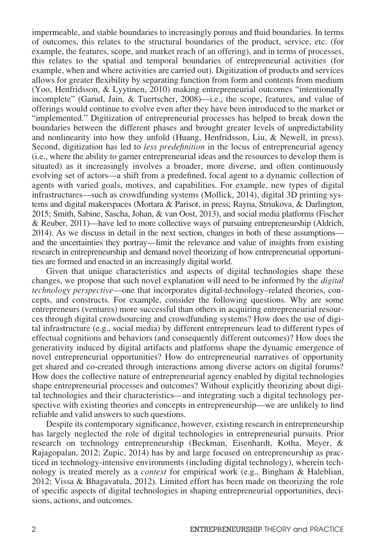impermeable, and stable boundaries to increasingly porous and fluid boundaries. In terms of outcomes, this relates to the structural boundaries of the product, service, etc. (for example, the features, scope, and market reach of an offering), and in terms of processes, this relates to the spatial and temporal boundaries of entrepreneurial activities (for example, when and where activities are carried out). Digitization of products and services allows for greater flexibility by separating function from form and contents from medium (Yoo, Henfridsson, & Lyytinen, 2010) making entrepreneurial outcomes "intentionally incomplete" (Garud, Jain, & Tuertscher, 2008)—i.e., the scope, features, and value of offerings would continue to evolve even after they have been introduced to the market or "implemented." Digitization of entrepreneurial processes has helped to break down the boundaries between the different phases and brought greater levels of unpredictability and nonlinearity into how they unfold (Huang, Henfridsson, Liu, & Newell, in press). Second, digitization has led to *less predefinition* in the locus of entrepreneurial agency (i.e., where the ability to garner entrepreneurial ideas and the resources to develop them is situated) as it increasingly involves a broader, more diverse, and often continuously evolving set of actors—a shift from a predefined, focal agent to a dynamic collection of agents with varied goals, motives, and capabilities. For example, new types of digital infrastructures—such as crowdfunding systems (Mollick, 2014), digital 3D printing systems and digital makerspaces (Mortara & Parisot, in press; Rayna, Striukova, & Darlington, 2015; Smith, Sabine, Sascha, Johan, & van Oost, 2013), and social media platforms (Fischer & Reuber, 2011)—have led to more collective ways of pursuing entrepreneurship (Aldrich, 2014). As we discuss in detail in the next section, changes in both of these assumptions and the uncertainties they portray—limit the relevance and value of insights from existing research in entrepreneurship and demand novel theorizing of how entrepreneurial opportunities are formed and enacted in an increasingly digital world.

Given that unique characteristics and aspects of digital technologies shape these changes, we propose that such novel explanation will need to be informed by the digital technology perspective—one that incorporates digital-technology–related theories, concepts, and constructs. For example, consider the following questions. Why are some entrepreneurs (ventures) more successful than others in acquiring entrepreneurial resources through digital crowdsourcing and crowdfunding systems? How does the use of digital infrastructure (e.g., social media) by different entrepreneurs lead to different types of effectual cognitions and behaviors (and consequently different outcomes)? How does the generativity induced by digital artifacts and platforms shape the dynamic emergence of novel entrepreneurial opportunities? How do entrepreneurial narratives of opportunity get shared and co-created through interactions among diverse actors on digital forums? How does the collective nature of entrepreneurial agency enabled by digital technologies shape entrepreneurial processes and outcomes? Without explicitly theorizing about digital technologies and their characteristics—and integrating such a digital technology perspective with existing theories and concepts in entrepreneurship—we are unlikely to find reliable and valid answers to such questions.

Despite its contemporary significance, however, existing research in entrepreneurship has largely neglected the role of digital technologies in entrepreneurial pursuits. Prior research on technology entrepreneurship (Beckman, Eisenhardt, Kotha, Meyer, & Rajagopalan, 2012; Zupic, 2014) has by and large focused on entrepreneurship as practiced in technology-intensive environments (including digital technology), wherein technology is treated merely as a context for empirical work (e.g., Bingham & Haleblian, 2012; Vissa & Bhagavatula, 2012). Limited effort has been made on theorizing the role of specific aspects of digital technologies in shaping entrepreneurial opportunities, decisions, actions, and outcomes.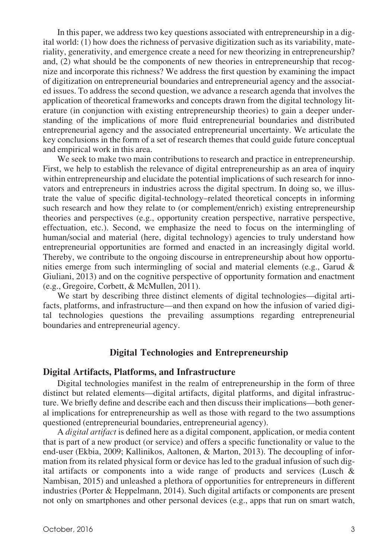In this paper, we address two key questions associated with entrepreneurship in a digital world: (1) how does the richness of pervasive digitization such as its variability, materiality, generativity, and emergence create a need for new theorizing in entrepreneurship? and, (2) what should be the components of new theories in entrepreneurship that recognize and incorporate this richness? We address the first question by examining the impact of digitization on entrepreneurial boundaries and entrepreneurial agency and the associated issues. To address the second question, we advance a research agenda that involves the application of theoretical frameworks and concepts drawn from the digital technology literature (in conjunction with existing entrepreneurship theories) to gain a deeper understanding of the implications of more fluid entrepreneurial boundaries and distributed entrepreneurial agency and the associated entrepreneurial uncertainty. We articulate the key conclusions in the form of a set of research themes that could guide future conceptual and empirical work in this area.

We seek to make two main contributions to research and practice in entrepreneurship. First, we help to establish the relevance of digital entrepreneurship as an area of inquiry within entrepreneurship and elucidate the potential implications of such research for innovators and entrepreneurs in industries across the digital spectrum. In doing so, we illustrate the value of specific digital-technology–related theoretical concepts in informing such research and how they relate to (or complement/enrich) existing entrepreneurship theories and perspectives (e.g., opportunity creation perspective, narrative perspective, effectuation, etc.). Second, we emphasize the need to focus on the intermingling of human/social and material (here, digital technology) agencies to truly understand how entrepreneurial opportunities are formed and enacted in an increasingly digital world. Thereby, we contribute to the ongoing discourse in entrepreneurship about how opportunities emerge from such intermingling of social and material elements (e.g., Garud  $\&$ Giuliani, 2013) and on the cognitive perspective of opportunity formation and enactment (e.g., Gregoire, Corbett, & McMullen, 2011).

We start by describing three distinct elements of digital technologies—digital artifacts, platforms, and infrastructure—and then expand on how the infusion of varied digital technologies questions the prevailing assumptions regarding entrepreneurial boundaries and entrepreneurial agency.

## Digital Technologies and Entrepreneurship

### Digital Artifacts, Platforms, and Infrastructure

Digital technologies manifest in the realm of entrepreneurship in the form of three distinct but related elements—digital artifacts, digital platforms, and digital infrastructure. We briefly define and describe each and then discuss their implications—both general implications for entrepreneurship as well as those with regard to the two assumptions questioned (entrepreneurial boundaries, entrepreneurial agency).

A digital artifact is defined here as a digital component, application, or media content that is part of a new product (or service) and offers a specific functionality or value to the end-user (Ekbia, 2009; Kallinikos, Aaltonen, & Marton, 2013). The decoupling of information from its related physical form or device has led to the gradual infusion of such digital artifacts or components into a wide range of products and services (Lusch & Nambisan, 2015) and unleashed a plethora of opportunities for entrepreneurs in different industries (Porter & Heppelmann, 2014). Such digital artifacts or components are present not only on smartphones and other personal devices (e.g., apps that run on smart watch,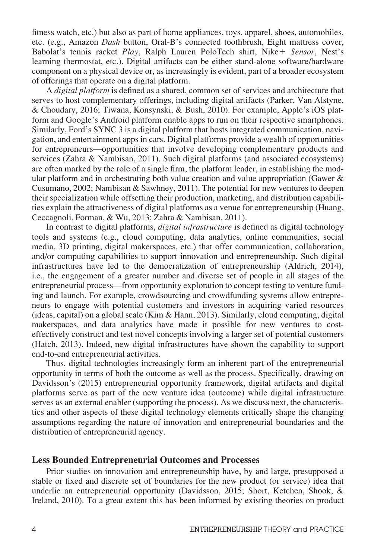fitness watch, etc.) but also as part of home appliances, toys, apparel, shoes, automobiles, etc. (e.g., Amazon Dash button, Oral-B's connected toothbrush, Eight mattress cover, Babolat's tennis racket  $Play$ , Ralph Lauren PoloTech shirt, Nike+ Sensor, Nest's learning thermostat, etc.). Digital artifacts can be either stand-alone software/hardware component on a physical device or, as increasingly is evident, part of a broader ecosystem of offerings that operate on a digital platform.

A *digital platform* is defined as a shared, common set of services and architecture that serves to host complementary offerings, including digital artifacts (Parker, Van Alstyne, & Choudary, 2016; Tiwana, Konsynski, & Bush, 2010). For example, Apple's iOS platform and Google's Android platform enable apps to run on their respective smartphones. Similarly, Ford's SYNC 3 is a digital platform that hosts integrated communication, navigation, and entertainment apps in cars. Digital platforms provide a wealth of opportunities for entrepreneurs—opportunities that involve developing complementary products and services (Zahra & Nambisan, 2011). Such digital platforms (and associated ecosystems) are often marked by the role of a single firm, the platform leader, in establishing the modular platform and in orchestrating both value creation and value appropriation (Gawer  $\&$ Cusumano, 2002; Nambisan & Sawhney, 2011). The potential for new ventures to deepen their specialization while offsetting their production, marketing, and distribution capabilities explain the attractiveness of digital platforms as a venue for entrepreneurship (Huang, Ceccagnoli, Forman, & Wu, 2013; Zahra & Nambisan, 2011).

In contrast to digital platforms, *digital infrastructure* is defined as digital technology tools and systems (e.g., cloud computing, data analytics, online communities, social media, 3D printing, digital makerspaces, etc.) that offer communication, collaboration, and/or computing capabilities to support innovation and entrepreneurship. Such digital infrastructures have led to the democratization of entrepreneurship (Aldrich, 2014), i.e., the engagement of a greater number and diverse set of people in all stages of the entrepreneurial process—from opportunity exploration to concept testing to venture funding and launch. For example, crowdsourcing and crowdfunding systems allow entrepreneurs to engage with potential customers and investors in acquiring varied resources (ideas, capital) on a global scale (Kim & Hann, 2013). Similarly, cloud computing, digital makerspaces, and data analytics have made it possible for new ventures to costeffectively construct and test novel concepts involving a larger set of potential customers (Hatch, 2013). Indeed, new digital infrastructures have shown the capability to support end-to-end entrepreneurial activities.

Thus, digital technologies increasingly form an inherent part of the entrepreneurial opportunity in terms of both the outcome as well as the process. Specifically, drawing on Davidsson's (2015) entrepreneurial opportunity framework, digital artifacts and digital platforms serve as part of the new venture idea (outcome) while digital infrastructure serves as an external enabler (supporting the process). As we discuss next, the characteristics and other aspects of these digital technology elements critically shape the changing assumptions regarding the nature of innovation and entrepreneurial boundaries and the distribution of entrepreneurial agency.

## Less Bounded Entrepreneurial Outcomes and Processes

Prior studies on innovation and entrepreneurship have, by and large, presupposed a stable or fixed and discrete set of boundaries for the new product (or service) idea that underlie an entrepreneurial opportunity (Davidsson, 2015; Short, Ketchen, Shook, & Ireland, 2010). To a great extent this has been informed by existing theories on product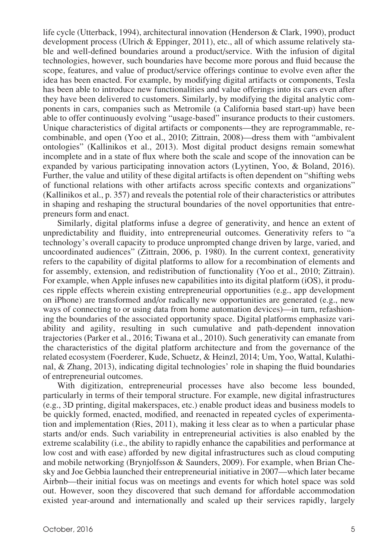life cycle (Utterback, 1994), architectural innovation (Henderson & Clark, 1990), product development process (Ulrich & Eppinger, 2011), etc., all of which assume relatively stable and well-defined boundaries around a product/service. With the infusion of digital technologies, however, such boundaries have become more porous and fluid because the scope, features, and value of product/service offerings continue to evolve even after the idea has been enacted. For example, by modifying digital artifacts or components, Tesla has been able to introduce new functionalities and value offerings into its cars even after they have been delivered to customers. Similarly, by modifying the digital analytic components in cars, companies such as Metromile (a California based start-up) have been able to offer continuously evolving "usage-based" insurance products to their customers. Unique characteristics of digital artifacts or components—they are reprogrammable, recombinable, and open (Yoo et al., 2010; Zittrain, 2008)—dress them with "ambivalent ontologies" (Kallinikos et al., 2013). Most digital product designs remain somewhat incomplete and in a state of flux where both the scale and scope of the innovation can be expanded by various participating innovation actors (Lyytinen, Yoo, & Boland, 2016). Further, the value and utility of these digital artifacts is often dependent on "shifting webs of functional relations with other artifacts across specific contexts and organizations" (Kallinikos et al., p. 357) and reveals the potential role of their characteristics or attributes in shaping and reshaping the structural boundaries of the novel opportunities that entrepreneurs form and enact.

Similarly, digital platforms infuse a degree of generativity, and hence an extent of unpredictability and fluidity, into entrepreneurial outcomes. Generativity refers to "a technology's overall capacity to produce unprompted change driven by large, varied, and uncoordinated audiences" (Zittrain, 2006, p. 1980). In the current context, generativity refers to the capability of digital platforms to allow for a recombination of elements and for assembly, extension, and redistribution of functionality (Yoo et al., 2010; Zittrain). For example, when Apple infuses new capabilities into its digital platform (iOS), it produces ripple effects wherein existing entrepreneurial opportunities (e.g., app development on iPhone) are transformed and/or radically new opportunities are generated (e.g., new ways of connecting to or using data from home automation devices)—in turn, refashioning the boundaries of the associated opportunity space. Digital platforms emphasize variability and agility, resulting in such cumulative and path-dependent innovation trajectories (Parker et al., 2016; Tiwana et al., 2010). Such generativity can emanate from the characteristics of the digital platform architecture and from the governance of the related ecosystem (Foerderer, Kude, Schuetz, & Heinzl, 2014; Um, Yoo, Wattal, Kulathinal, & Zhang, 2013), indicating digital technologies' role in shaping the fluid boundaries of entrepreneurial outcomes.

With digitization, entrepreneurial processes have also become less bounded, particularly in terms of their temporal structure. For example, new digital infrastructures (e.g., 3D printing, digital makerspaces, etc.) enable product ideas and business models to be quickly formed, enacted, modified, and reenacted in repeated cycles of experimentation and implementation (Ries, 2011), making it less clear as to when a particular phase starts and/or ends. Such variability in entrepreneurial activities is also enabled by the extreme scalability (i.e., the ability to rapidly enhance the capabilities and performance at low cost and with ease) afforded by new digital infrastructures such as cloud computing and mobile networking (Brynjolfsson & Saunders, 2009). For example, when Brian Chesky and Joe Gebbia launched their entrepreneurial initiative in 2007—which later became Airbnb—their initial focus was on meetings and events for which hotel space was sold out. However, soon they discovered that such demand for affordable accommodation existed year-around and internationally and scaled up their services rapidly, largely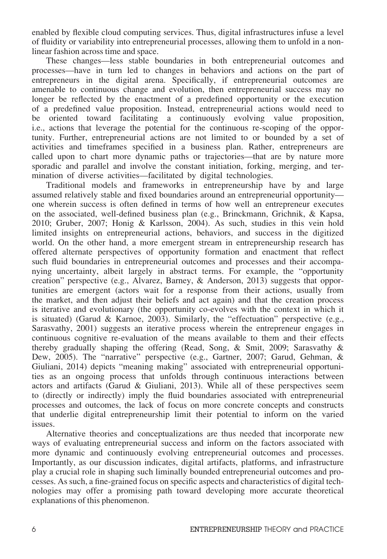enabled by flexible cloud computing services. Thus, digital infrastructures infuse a level of fluidity or variability into entrepreneurial processes, allowing them to unfold in a nonlinear fashion across time and space.

These changes—less stable boundaries in both entrepreneurial outcomes and processes—have in turn led to changes in behaviors and actions on the part of entrepreneurs in the digital arena. Specifically, if entrepreneurial outcomes are amenable to continuous change and evolution, then entrepreneurial success may no longer be reflected by the enactment of a predefined opportunity or the execution of a predefined value proposition. Instead, entrepreneurial actions would need to be oriented toward facilitating a continuously evolving value proposition, i.e., actions that leverage the potential for the continuous re-scoping of the opportunity. Further, entrepreneurial actions are not limited to or bounded by a set of activities and timeframes specified in a business plan. Rather, entrepreneurs are called upon to chart more dynamic paths or trajectories—that are by nature more sporadic and parallel and involve the constant initiation, forking, merging, and termination of diverse activities—facilitated by digital technologies.

Traditional models and frameworks in entrepreneurship have by and large assumed relatively stable and fixed boundaries around an entrepreneurial opportunity one wherein success is often defined in terms of how well an entrepreneur executes on the associated, well-defined business plan (e.g., Brinckmann, Grichnik, & Kapsa, 2010; Gruber, 2007; Honig & Karlsson, 2004). As such, studies in this vein hold limited insights on entrepreneurial actions, behaviors, and success in the digitized world. On the other hand, a more emergent stream in entrepreneurship research has offered alternate perspectives of opportunity formation and enactment that reflect such fluid boundaries in entrepreneurial outcomes and processes and their accompanying uncertainty, albeit largely in abstract terms. For example, the "opportunity creation" perspective (e.g., Alvarez, Barney, & Anderson, 2013) suggests that opportunities are emergent (actors wait for a response from their actions, usually from the market, and then adjust their beliefs and act again) and that the creation process is iterative and evolutionary (the opportunity co-evolves with the context in which it is situated) (Garud & Karnoe, 2003). Similarly, the "effectuation" perspective  $(e.g.,)$ Sarasvathy, 2001) suggests an iterative process wherein the entrepreneur engages in continuous cognitive re-evaluation of the means available to them and their effects thereby gradually shaping the offering (Read, Song, & Smit, 2009; Sarasvathy & Dew, 2005). The "narrative" perspective (e.g., Gartner, 2007; Garud, Gehman, & Giuliani, 2014) depicts "meaning making" associated with entrepreneurial opportunities as an ongoing process that unfolds through continuous interactions between actors and artifacts (Garud & Giuliani, 2013). While all of these perspectives seem to (directly or indirectly) imply the fluid boundaries associated with entrepreneurial processes and outcomes, the lack of focus on more concrete concepts and constructs that underlie digital entrepreneurship limit their potential to inform on the varied issues.

Alternative theories and conceptualizations are thus needed that incorporate new ways of evaluating entrepreneurial success and inform on the factors associated with more dynamic and continuously evolving entrepreneurial outcomes and processes. Importantly, as our discussion indicates, digital artifacts, platforms, and infrastructure play a crucial role in shaping such liminally bounded entrepreneurial outcomes and processes. As such, a fine-grained focus on specific aspects and characteristics of digital technologies may offer a promising path toward developing more accurate theoretical explanations of this phenomenon.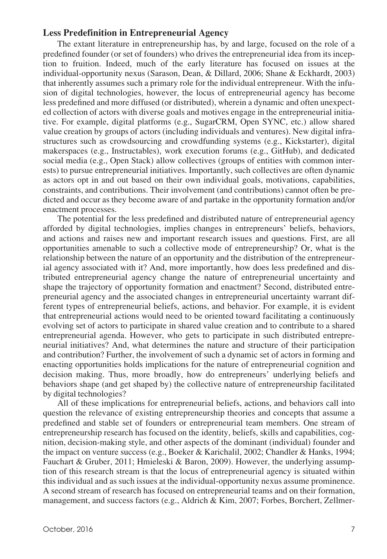## Less Predefinition in Entrepreneurial Agency

The extant literature in entrepreneurship has, by and large, focused on the role of a predefined founder (or set of founders) who drives the entrepreneurial idea from its inception to fruition. Indeed, much of the early literature has focused on issues at the individual-opportunity nexus (Sarason, Dean, & Dillard, 2006; Shane & Eckhardt, 2003) that inherently assumes such a primary role for the individual entrepreneur. With the infusion of digital technologies, however, the locus of entrepreneurial agency has become less predefined and more diffused (or distributed), wherein a dynamic and often unexpected collection of actors with diverse goals and motives engage in the entrepreneurial initiative. For example, digital platforms (e.g., SugarCRM, Open SYNC, etc.) allow shared value creation by groups of actors (including individuals and ventures). New digital infrastructures such as crowdsourcing and crowdfunding systems (e.g., Kickstarter), digital makerspaces (e.g., Instructables), work execution forums (e.g., GitHub), and dedicated social media (e.g., Open Stack) allow collectives (groups of entities with common interests) to pursue entrepreneurial initiatives. Importantly, such collectives are often dynamic as actors opt in and out based on their own individual goals, motivations, capabilities, constraints, and contributions. Their involvement (and contributions) cannot often be predicted and occur as they become aware of and partake in the opportunity formation and/or enactment processes.

The potential for the less predefined and distributed nature of entrepreneurial agency afforded by digital technologies, implies changes in entrepreneurs' beliefs, behaviors, and actions and raises new and important research issues and questions. First, are all opportunities amenable to such a collective mode of entrepreneurship? Or, what is the relationship between the nature of an opportunity and the distribution of the entrepreneurial agency associated with it? And, more importantly, how does less predefined and distributed entrepreneurial agency change the nature of entrepreneurial uncertainty and shape the trajectory of opportunity formation and enactment? Second, distributed entrepreneurial agency and the associated changes in entrepreneurial uncertainty warrant different types of entrepreneurial beliefs, actions, and behavior. For example, it is evident that entrepreneurial actions would need to be oriented toward facilitating a continuously evolving set of actors to participate in shared value creation and to contribute to a shared entrepreneurial agenda. However, who gets to participate in such distributed entrepreneurial initiatives? And, what determines the nature and structure of their participation and contribution? Further, the involvement of such a dynamic set of actors in forming and enacting opportunities holds implications for the nature of entrepreneurial cognition and decision making. Thus, more broadly, how do entrepreneurs' underlying beliefs and behaviors shape (and get shaped by) the collective nature of entrepreneurship facilitated by digital technologies?

All of these implications for entrepreneurial beliefs, actions, and behaviors call into question the relevance of existing entrepreneurship theories and concepts that assume a predefined and stable set of founders or entrepreneurial team members. One stream of entrepreneurship research has focused on the identity, beliefs, skills and capabilities, cognition, decision-making style, and other aspects of the dominant (individual) founder and the impact on venture success (e.g., Boeker & Karichalil, 2002; Chandler & Hanks, 1994; Fauchart & Gruber, 2011; Hmieleski & Baron, 2009). However, the underlying assumption of this research stream is that the locus of entrepreneurial agency is situated within this individual and as such issues at the individual-opportunity nexus assume prominence. A second stream of research has focused on entrepreneurial teams and on their formation, management, and success factors (e.g., Aldrich & Kim, 2007; Forbes, Borchert, Zellmer-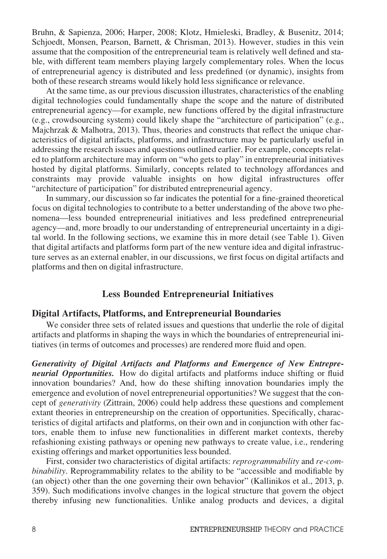Bruhn, & Sapienza, 2006; Harper, 2008; Klotz, Hmieleski, Bradley, & Busenitz, 2014; Schjoedt, Monsen, Pearson, Barnett, & Chrisman, 2013). However, studies in this vein assume that the composition of the entrepreneurial team is relatively well defined and stable, with different team members playing largely complementary roles. When the locus of entrepreneurial agency is distributed and less predefined (or dynamic), insights from both of these research streams would likely hold less significance or relevance.

At the same time, as our previous discussion illustrates, characteristics of the enabling digital technologies could fundamentally shape the scope and the nature of distributed entrepreneurial agency—for example, new functions offered by the digital infrastructure (e.g., crowdsourcing system) could likely shape the "architecture of participation" (e.g., Majchrzak & Malhotra, 2013). Thus, theories and constructs that reflect the unique characteristics of digital artifacts, platforms, and infrastructure may be particularly useful in addressing the research issues and questions outlined earlier. For example, concepts related to platform architecture may inform on "who gets to play" in entrepreneurial initiatives hosted by digital platforms. Similarly, concepts related to technology affordances and constraints may provide valuable insights on how digital infrastructures offer "architecture of participation" for distributed entrepreneurial agency.

In summary, our discussion so far indicates the potential for a fine-grained theoretical focus on digital technologies to contribute to a better understanding of the above two phenomena—less bounded entrepreneurial initiatives and less predefined entrepreneurial agency—and, more broadly to our understanding of entrepreneurial uncertainty in a digital world. In the following sections, we examine this in more detail (see Table 1). Given that digital artifacts and platforms form part of the new venture idea and digital infrastructure serves as an external enabler, in our discussions, we first focus on digital artifacts and platforms and then on digital infrastructure.

## Less Bounded Entrepreneurial Initiatives

## Digital Artifacts, Platforms, and Entrepreneurial Boundaries

We consider three sets of related issues and questions that underlie the role of digital artifacts and platforms in shaping the ways in which the boundaries of entrepreneurial initiatives (in terms of outcomes and processes) are rendered more fluid and open.

Generativity of Digital Artifacts and Platforms and Emergence of New Entrepreneurial Opportunities. How do digital artifacts and platforms induce shifting or fluid innovation boundaries? And, how do these shifting innovation boundaries imply the emergence and evolution of novel entrepreneurial opportunities? We suggest that the concept of generativity (Zittrain, 2006) could help address these questions and complement extant theories in entrepreneurship on the creation of opportunities. Specifically, characteristics of digital artifacts and platforms, on their own and in conjunction with other factors, enable them to infuse new functionalities in different market contexts, thereby refashioning existing pathways or opening new pathways to create value, i.e., rendering existing offerings and market opportunities less bounded.

First, consider two characteristics of digital artifacts: reprogrammability and re-combinability. Reprogrammability relates to the ability to be "accessible and modifiable by (an object) other than the one governing their own behavior" (Kallinikos et al., 2013, p. 359). Such modifications involve changes in the logical structure that govern the object thereby infusing new functionalities. Unlike analog products and devices, a digital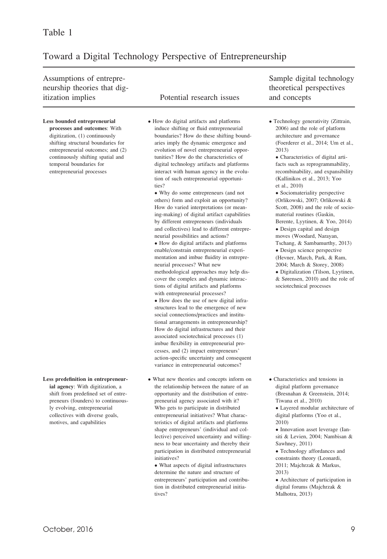# Toward a Digital Technology Perspective of Entrepreneurship

Assumptions of entrepreneurship theories that digitization implies Potential research issues

#### Less bounded entrepreneurial

processes and outcomes: With digitization, (1) continuously shifting structural boundaries for entrepreneurial outcomes; and (2) continuously shifting spatial and temporal boundaries for entrepreneurial processes

Less predefinition in entrepreneurial agency: With digitization, a shift from predefined set of entrepreneurs (founders) to continuously evolving, entrepreneurial collectives with diverse goals, motives, and capabilities

- How do digital artifacts and platforms induce shifting or fluid entrepreneurial boundaries? How do these shifting boundaries imply the dynamic emergence and evolution of novel entrepreneurial opportunities? How do the characteristics of digital technology artifacts and platforms interact with human agency in the evolution of such entrepreneurial opportuni-

ties?

- Why do some entrepreneurs (and not others) form and exploit an opportunity? How do varied interpretations (or meaning-making) of digital artifact capabilities by different entrepreneurs (individuals and collectives) lead to different entrepreneurial possibilities and actions?

- How do digital artifacts and platforms enable/constrain entrepreneurial experimentation and imbue fluidity in entrepreneurial processes? What new methodological approaches may help discover the complex and dynamic interactions of digital artifacts and platforms

with entrepreneurial processes? - How does the use of new digital infrastructures lead to the emergence of new social connections/practices and institutional arrangements in entrepreneurship? How do digital infrastructures and their associated sociotechnical processes (1) imbue flexibility in entrepreneurial processes, and (2) impact entrepreneurs' action-specific uncertainty and consequent variance in entrepreneurial outcomes?

- What new theories and concepts inform on the relationship between the nature of an opportunity and the distribution of entrepreneurial agency associated with it? Who gets to participate in distributed entrepreneurial initiatives? What characteristics of digital artifacts and platforms shape entrepreneurs' (individual and collective) perceived uncertainty and willingness to bear uncertainty and thereby their participation in distributed entrepreneurial initiatives?

- What aspects of digital infrastructures determine the nature and structure of entrepreneurs' participation and contribution in distributed entrepreneurial initiatives?

Sample digital technology theoretical perspectives and concepts

- Technology generativity (Zittrain, 2006) and the role of platform architecture and governance (Foerderer et al., 2014; Um et al., 2013)

- Characteristics of digital artifacts such as reprogrammability, recombinability, and expansibility (Kallinikos et al., 2013; Yoo et al., 2010)

- Sociomateriality perspective (Orlikowski, 2007; Orlikowski & Scott, 2008) and the role of sociomaterial routines (Gaskin, Berente, Lyytinen, & Yoo, 2014) - Design capital and design moves (Woodard, Narayan, Tschang, & Sambamurthy, 2013) - Design science perspective (Hevner, March, Park, & Ram, 2004; March & Storey, 2008) - Digitalization (Tilson, Lyytinen,

& Sørensen, 2010) and the role of sociotechnical processes

- Characteristics and tensions in digital platform governance (Bresnahan & Greenstein, 2014; Tiwana et al., 2010)

- Layered modular architecture of digital platforms (Yoo et al., 2010)

- Innovation asset leverage (Iansiti & Levien, 2004; Nambisan & Sawhney, 2011)

- Technology affordances and constraints theory (Leonardi, 2011; Majchrzak & Markus, 2013)

- Architecture of participation in digital forums (Majchrzak & Malhotra, 2013)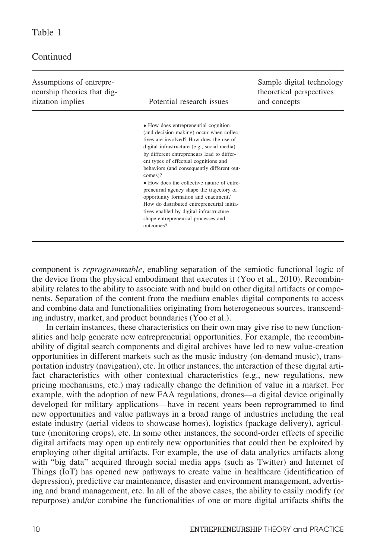| м<br>וח |  |
|---------|--|
|---------|--|

# **Continued**

| Assumptions of entrepre-<br>neurship theories that dig-<br><i>itization implies</i> | Potential research issues                                                                                                                                                                                                                                                                                                                                                                                                                                                                                                                                                                                  | Sample digital technology<br>theoretical perspectives<br>and concepts |
|-------------------------------------------------------------------------------------|------------------------------------------------------------------------------------------------------------------------------------------------------------------------------------------------------------------------------------------------------------------------------------------------------------------------------------------------------------------------------------------------------------------------------------------------------------------------------------------------------------------------------------------------------------------------------------------------------------|-----------------------------------------------------------------------|
|                                                                                     | • How does entrepreneurial cognition<br>(and decision making) occur when collec-<br>tives are involved? How does the use of<br>digital infrastructure (e.g., social media)<br>by different entrepreneurs lead to differ-<br>ent types of effectual cognitions and<br>behaviors (and consequently different out-<br>comes)?<br>• How does the collective nature of entre-<br>preneurial agency shape the trajectory of<br>opportunity formation and enactment?<br>How do distributed entrepreneurial initia-<br>tives enabled by digital infrastructure<br>shape entrepreneurial processes and<br>outcomes? |                                                                       |

component is reprogrammable, enabling separation of the semiotic functional logic of the device from the physical embodiment that executes it (Yoo et al., 2010). Recombinability relates to the ability to associate with and build on other digital artifacts or components. Separation of the content from the medium enables digital components to access and combine data and functionalities originating from heterogeneous sources, transcending industry, market, and product boundaries (Yoo et al.).

In certain instances, these characteristics on their own may give rise to new functionalities and help generate new entrepreneurial opportunities. For example, the recombinability of digital search components and digital archives have led to new value-creation opportunities in different markets such as the music industry (on-demand music), transportation industry (navigation), etc. In other instances, the interaction of these digital artifact characteristics with other contextual characteristics (e.g., new regulations, new pricing mechanisms, etc.) may radically change the definition of value in a market. For example, with the adoption of new FAA regulations, drones—a digital device originally developed for military applications—have in recent years been reprogrammed to find new opportunities and value pathways in a broad range of industries including the real estate industry (aerial videos to showcase homes), logistics (package delivery), agriculture (monitoring crops), etc. In some other instances, the second-order effects of specific digital artifacts may open up entirely new opportunities that could then be exploited by employing other digital artifacts. For example, the use of data analytics artifacts along with "big data" acquired through social media apps (such as Twitter) and Internet of Things (IoT) has opened new pathways to create value in healthcare (identification of depression), predictive car maintenance, disaster and environment management, advertising and brand management, etc. In all of the above cases, the ability to easily modify (or repurpose) and/or combine the functionalities of one or more digital artifacts shifts the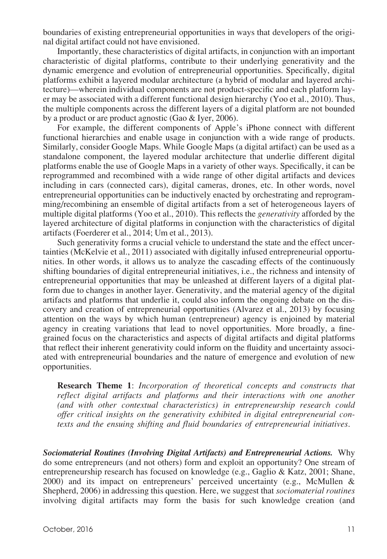boundaries of existing entrepreneurial opportunities in ways that developers of the original digital artifact could not have envisioned.

Importantly, these characteristics of digital artifacts, in conjunction with an important characteristic of digital platforms, contribute to their underlying generativity and the dynamic emergence and evolution of entrepreneurial opportunities. Specifically, digital platforms exhibit a layered modular architecture (a hybrid of modular and layered architecture)—wherein individual components are not product-specific and each platform layer may be associated with a different functional design hierarchy (Yoo et al., 2010). Thus, the multiple components across the different layers of a digital platform are not bounded by a product or are product agnostic (Gao & Iyer, 2006).

For example, the different components of Apple's iPhone connect with different functional hierarchies and enable usage in conjunction with a wide range of products. Similarly, consider Google Maps. While Google Maps (a digital artifact) can be used as a standalone component, the layered modular architecture that underlie different digital platforms enable the use of Google Maps in a variety of other ways. Specifically, it can be reprogrammed and recombined with a wide range of other digital artifacts and devices including in cars (connected cars), digital cameras, drones, etc. In other words, novel entrepreneurial opportunities can be inductively enacted by orchestrating and reprogramming/recombining an ensemble of digital artifacts from a set of heterogeneous layers of multiple digital platforms (Yoo et al., 2010). This reflects the *generativity* afforded by the layered architecture of digital platforms in conjunction with the characteristics of digital artifacts (Foerderer et al., 2014; Um et al., 2013).

Such generativity forms a crucial vehicle to understand the state and the effect uncertainties (McKelvie et al., 2011) associated with digitally infused entrepreneurial opportunities. In other words, it allows us to analyze the cascading effects of the continuously shifting boundaries of digital entrepreneurial initiatives, i.e., the richness and intensity of entrepreneurial opportunities that may be unleashed at different layers of a digital platform due to changes in another layer. Generativity, and the material agency of the digital artifacts and platforms that underlie it, could also inform the ongoing debate on the discovery and creation of entrepreneurial opportunities (Alvarez et al., 2013) by focusing attention on the ways by which human (entrepreneur) agency is enjoined by material agency in creating variations that lead to novel opportunities. More broadly, a finegrained focus on the characteristics and aspects of digital artifacts and digital platforms that reflect their inherent generativity could inform on the fluidity and uncertainty associated with entrepreneurial boundaries and the nature of emergence and evolution of new opportunities.

Research Theme 1: Incorporation of theoretical concepts and constructs that reflect digital artifacts and platforms and their interactions with one another (and with other contextual characteristics) in entrepreneurship research could offer critical insights on the generativity exhibited in digital entrepreneurial contexts and the ensuing shifting and fluid boundaries of entrepreneurial initiatives.

Sociomaterial Routines (Involving Digital Artifacts) and Entrepreneurial Actions. Why do some entrepreneurs (and not others) form and exploit an opportunity? One stream of entrepreneurship research has focused on knowledge (e.g., Gaglio & Katz, 2001; Shane, 2000) and its impact on entrepreneurs' perceived uncertainty (e.g., McMullen & Shepherd, 2006) in addressing this question. Here, we suggest that sociomaterial routines involving digital artifacts may form the basis for such knowledge creation (and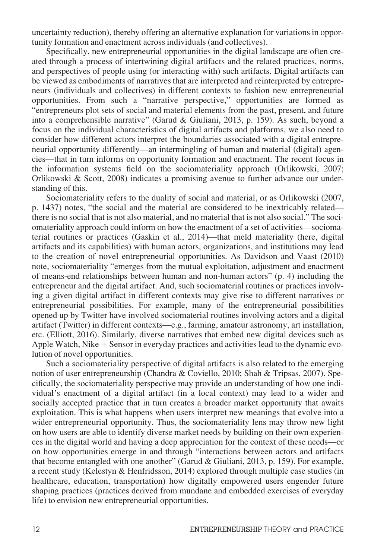uncertainty reduction), thereby offering an alternative explanation for variations in opportunity formation and enactment across individuals (and collectives).

Specifically, new entrepreneurial opportunities in the digital landscape are often created through a process of intertwining digital artifacts and the related practices, norms, and perspectives of people using (or interacting with) such artifacts. Digital artifacts can be viewed as embodiments of narratives that are interpreted and reinterpreted by entrepreneurs (individuals and collectives) in different contexts to fashion new entrepreneurial opportunities. From such a "narrative perspective," opportunities are formed as "entrepreneurs plot sets of social and material elements from the past, present, and future into a comprehensible narrative" (Garud & Giuliani, 2013, p. 159). As such, beyond a focus on the individual characteristics of digital artifacts and platforms, we also need to consider how different actors interpret the boundaries associated with a digital entrepreneurial opportunity differently—an intermingling of human and material (digital) agencies—that in turn informs on opportunity formation and enactment. The recent focus in the information systems field on the sociomateriality approach (Orlikowski, 2007; Orlikowski & Scott, 2008) indicates a promising avenue to further advance our understanding of this.

Sociomateriality refers to the duality of social and material, or as Orlikowski (2007, p. 1437) notes, "the social and the material are considered to be inextricably related there is no social that is not also material, and no material that is not also social." The sociomateriality approach could inform on how the enactment of a set of activities—sociomaterial routines or practices (Gaskin et al., 2014)—that meld materiality (here, digital artifacts and its capabilities) with human actors, organizations, and institutions may lead to the creation of novel entrepreneurial opportunities. As Davidson and Vaast (2010) note, sociomateriality "emerges from the mutual exploitation, adjustment and enactment of means-end relationships between human and non-human actors" (p. 4) including the entrepreneur and the digital artifact. And, such sociomaterial routines or practices involving a given digital artifact in different contexts may give rise to different narratives or entrepreneurial possibilities. For example, many of the entrepreneurial possibilities opened up by Twitter have involved sociomaterial routines involving actors and a digital artifact (Twitter) in different contexts—e.g., farming, amateur astronomy, art installation, etc. (Elliott, 2016). Similarly, diverse narratives that embed new digital devices such as Apple Watch, Nike  $+$  Sensor in everyday practices and activities lead to the dynamic evolution of novel opportunities.

Such a sociomateriality perspective of digital artifacts is also related to the emerging notion of user entrepreneurship (Chandra & Coviello, 2010; Shah & Tripsas, 2007). Specifically, the sociomateriality perspective may provide an understanding of how one individual's enactment of a digital artifact (in a local context) may lead to a wider and socially accepted practice that in turn creates a broader market opportunity that awaits exploitation. This is what happens when users interpret new meanings that evolve into a wider entrepreneurial opportunity. Thus, the sociomateriality lens may throw new light on how users are able to identify diverse market needs by building on their own experiences in the digital world and having a deep appreciation for the context of these needs—or on how opportunities emerge in and through "interactions between actors and artifacts that become entangled with one another" (Garud & Giuliani, 2013, p. 159). For example, a recent study (Kelestyn & Henfridsson, 2014) explored through multiple case studies (in healthcare, education, transportation) how digitally empowered users engender future shaping practices (practices derived from mundane and embedded exercises of everyday life) to envision new entrepreneurial opportunities.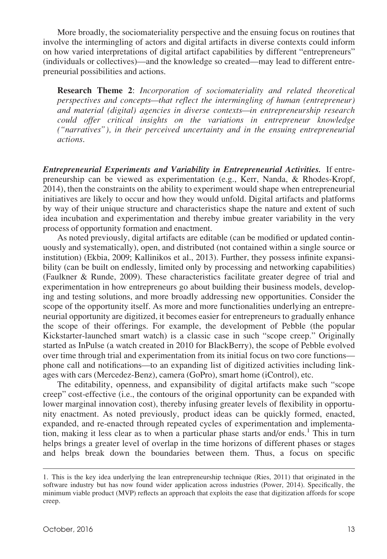More broadly, the sociomateriality perspective and the ensuing focus on routines that involve the intermingling of actors and digital artifacts in diverse contexts could inform on how varied interpretations of digital artifact capabilities by different "entrepreneurs" (individuals or collectives)—and the knowledge so created—may lead to different entrepreneurial possibilities and actions.

Research Theme 2: Incorporation of sociomateriality and related theoretical perspectives and concepts—that reflect the intermingling of human (entrepreneur) and material (digital) agencies in diverse contexts—in entrepreneurship research could offer critical insights on the variations in entrepreneur knowledge ("narratives"), in their perceived uncertainty and in the ensuing entrepreneurial actions.

Entrepreneurial Experiments and Variability in Entrepreneurial Activities. If entrepreneurship can be viewed as experimentation (e.g., Kerr, Nanda, & Rhodes-Kropf, 2014), then the constraints on the ability to experiment would shape when entrepreneurial initiatives are likely to occur and how they would unfold. Digital artifacts and platforms by way of their unique structure and characteristics shape the nature and extent of such idea incubation and experimentation and thereby imbue greater variability in the very process of opportunity formation and enactment.

As noted previously, digital artifacts are editable (can be modified or updated continuously and systematically), open, and distributed (not contained within a single source or institution) (Ekbia, 2009; Kallinikos et al., 2013). Further, they possess infinite expansibility (can be built on endlessly, limited only by processing and networking capabilities) (Faulkner & Runde, 2009). These characteristics facilitate greater degree of trial and experimentation in how entrepreneurs go about building their business models, developing and testing solutions, and more broadly addressing new opportunities. Consider the scope of the opportunity itself. As more and more functionalities underlying an entrepreneurial opportunity are digitized, it becomes easier for entrepreneurs to gradually enhance the scope of their offerings. For example, the development of Pebble (the popular Kickstarter-launched smart watch) is a classic case in such "scope creep." Originally started as InPulse (a watch created in 2010 for BlackBerry), the scope of Pebble evolved over time through trial and experimentation from its initial focus on two core functions phone call and notifications—to an expanding list of digitized activities including linkages with cars (Mercedez-Benz), camera (GoPro), smart home (iControl), etc.

The editability, openness, and expansibility of digital artifacts make such "scope creep" cost-effective (i.e., the contours of the original opportunity can be expanded with lower marginal innovation cost), thereby infusing greater levels of flexibility in opportunity enactment. As noted previously, product ideas can be quickly formed, enacted, expanded, and re-enacted through repeated cycles of experimentation and implementation, making it less clear as to when a particular phase starts and/or ends.<sup>1</sup> This in turn helps brings a greater level of overlap in the time horizons of different phases or stages and helps break down the boundaries between them. Thus, a focus on specific

<sup>1.</sup> This is the key idea underlying the lean entrepreneurship technique (Ries, 2011) that originated in the software industry but has now found wider application across industries (Power, 2014). Specifically, the minimum viable product (MVP) reflects an approach that exploits the ease that digitization affords for scope creep.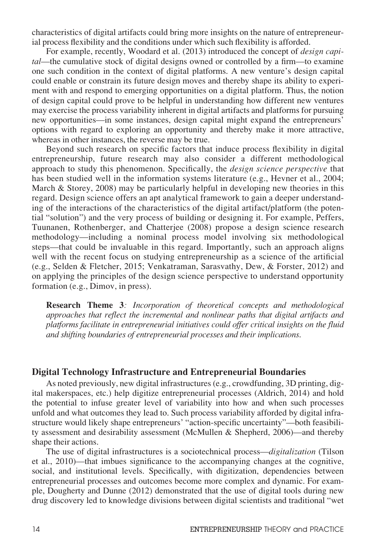characteristics of digital artifacts could bring more insights on the nature of entrepreneurial process flexibility and the conditions under which such flexibility is afforded.

For example, recently, Woodard et al. (2013) introduced the concept of *design capi*tal—the cumulative stock of digital designs owned or controlled by a firm—to examine one such condition in the context of digital platforms. A new venture's design capital could enable or constrain its future design moves and thereby shape its ability to experiment with and respond to emerging opportunities on a digital platform. Thus, the notion of design capital could prove to be helpful in understanding how different new ventures may exercise the process variability inherent in digital artifacts and platforms for pursuing new opportunities—in some instances, design capital might expand the entrepreneurs' options with regard to exploring an opportunity and thereby make it more attractive, whereas in other instances, the reverse may be true.

Beyond such research on specific factors that induce process flexibility in digital entrepreneurship, future research may also consider a different methodological approach to study this phenomenon. Specifically, the *design science perspective* that has been studied well in the information systems literature (e.g., Hevner et al., 2004; March & Storey, 2008) may be particularly helpful in developing new theories in this regard. Design science offers an apt analytical framework to gain a deeper understanding of the interactions of the characteristics of the digital artifact/platform (the potential "solution") and the very process of building or designing it. For example, Peffers, Tuunanen, Rothenberger, and Chatterjee (2008) propose a design science research methodology—including a nominal process model involving six methodological steps—that could be invaluable in this regard. Importantly, such an approach aligns well with the recent focus on studying entrepreneurship as a science of the artificial (e.g., Selden & Fletcher, 2015; Venkatraman, Sarasvathy, Dew, & Forster, 2012) and on applying the principles of the design science perspective to understand opportunity formation (e.g., Dimov, in press).

Research Theme 3: Incorporation of theoretical concepts and methodological approaches that reflect the incremental and nonlinear paths that digital artifacts and platforms facilitate in entrepreneurial initiatives could offer critical insights on the fluid and shifting boundaries of entrepreneurial processes and their implications.

## Digital Technology Infrastructure and Entrepreneurial Boundaries

As noted previously, new digital infrastructures (e.g., crowdfunding, 3D printing, digital makerspaces, etc.) help digitize entrepreneurial processes (Aldrich, 2014) and hold the potential to infuse greater level of variability into how and when such processes unfold and what outcomes they lead to. Such process variability afforded by digital infrastructure would likely shape entrepreneurs' "action-specific uncertainty"—both feasibility assessment and desirability assessment (McMullen & Shepherd, 2006)—and thereby shape their actions.

The use of digital infrastructures is a sociotechnical process—*digitalization* (Tilson et al., 2010)—that imbues significance to the accompanying changes at the cognitive, social, and institutional levels. Specifically, with digitization, dependencies between entrepreneurial processes and outcomes become more complex and dynamic. For example, Dougherty and Dunne (2012) demonstrated that the use of digital tools during new drug discovery led to knowledge divisions between digital scientists and traditional "wet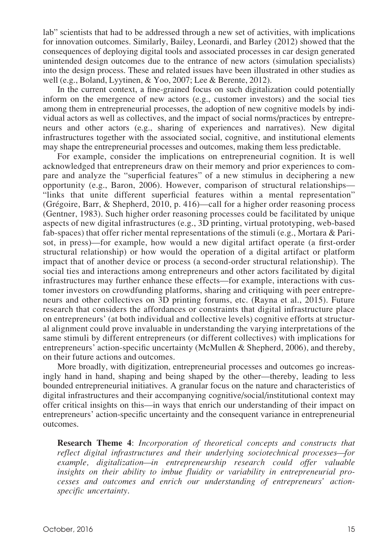lab" scientists that had to be addressed through a new set of activities, with implications for innovation outcomes. Similarly, Bailey, Leonardi, and Barley (2012) showed that the consequences of deploying digital tools and associated processes in car design generated unintended design outcomes due to the entrance of new actors (simulation specialists) into the design process. These and related issues have been illustrated in other studies as well (e.g., Boland, Lyytinen, & Yoo, 2007; Lee & Berente, 2012).

In the current context, a fine-grained focus on such digitalization could potentially inform on the emergence of new actors (e.g., customer investors) and the social ties among them in entrepreneurial processes, the adoption of new cognitive models by individual actors as well as collectives, and the impact of social norms/practices by entrepreneurs and other actors (e.g., sharing of experiences and narratives). New digital infrastructures together with the associated social, cognitive, and institutional elements may shape the entrepreneurial processes and outcomes, making them less predictable.

For example, consider the implications on entrepreneurial cognition. It is well acknowledged that entrepreneurs draw on their memory and prior experiences to compare and analyze the "superficial features" of a new stimulus in deciphering a new opportunity (e.g., Baron, 2006). However, comparison of structural relationships— "links that unite different superficial features within a mental representation" (Grégoire, Barr, & Shepherd, 2010, p. 416)—call for a higher order reasoning process (Gentner, 1983). Such higher order reasoning processes could be facilitated by unique aspects of new digital infrastructures (e.g., 3D printing, virtual prototyping, web-based fab-spaces) that offer richer mental representations of the stimuli (e.g., Mortara & Parisot, in press)—for example, how would a new digital artifact operate (a first-order structural relationship) or how would the operation of a digital artifact or platform impact that of another device or process (a second-order structural relationship). The social ties and interactions among entrepreneurs and other actors facilitated by digital infrastructures may further enhance these effects—for example, interactions with customer investors on crowdfunding platforms, sharing and critiquing with peer entrepreneurs and other collectives on 3D printing forums, etc. (Rayna et al., 2015). Future research that considers the affordances or constraints that digital infrastructure place on entrepreneurs' (at both individual and collective levels) cognitive efforts at structural alignment could prove invaluable in understanding the varying interpretations of the same stimuli by different entrepreneurs (or different collectives) with implications for entrepreneurs' action-specific uncertainty (McMullen & Shepherd, 2006), and thereby, on their future actions and outcomes.

More broadly, with digitization, entrepreneurial processes and outcomes go increasingly hand in hand, shaping and being shaped by the other—thereby, leading to less bounded entrepreneurial initiatives. A granular focus on the nature and characteristics of digital infrastructures and their accompanying cognitive/social/institutional context may offer critical insights on this—in ways that enrich our understanding of their impact on entrepreneurs' action-specific uncertainty and the consequent variance in entrepreneurial outcomes.

Research Theme 4: Incorporation of theoretical concepts and constructs that reflect digital infrastructures and their underlying sociotechnical processes—for example, digitalization—in entrepreneurship research could offer valuable insights on their ability to imbue fluidity or variability in entrepreneurial processes and outcomes and enrich our understanding of entrepreneurs' actionspecific uncertainty.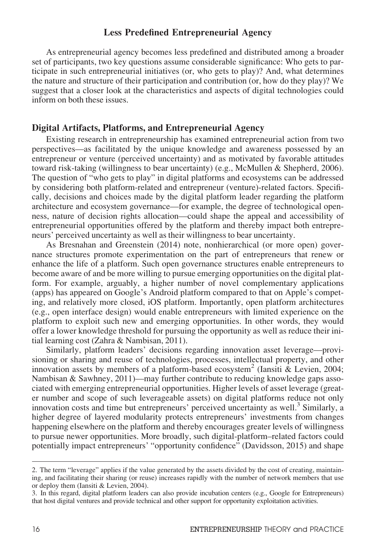## Less Predefined Entrepreneurial Agency

As entrepreneurial agency becomes less predefined and distributed among a broader set of participants, two key questions assume considerable significance: Who gets to participate in such entrepreneurial initiatives (or, who gets to play)? And, what determines the nature and structure of their participation and contribution (or, how do they play)? We suggest that a closer look at the characteristics and aspects of digital technologies could inform on both these issues.

## Digital Artifacts, Platforms, and Entrepreneurial Agency

Existing research in entrepreneurship has examined entrepreneurial action from two perspectives—as facilitated by the unique knowledge and awareness possessed by an entrepreneur or venture (perceived uncertainty) and as motivated by favorable attitudes toward risk-taking (willingness to bear uncertainty) (e.g., McMullen & Shepherd, 2006). The question of "who gets to play" in digital platforms and ecosystems can be addressed by considering both platform-related and entrepreneur (venture)-related factors. Specifically, decisions and choices made by the digital platform leader regarding the platform architecture and ecosystem governance—for example, the degree of technological openness, nature of decision rights allocation—could shape the appeal and accessibility of entrepreneurial opportunities offered by the platform and thereby impact both entrepreneurs' perceived uncertainty as well as their willingness to bear uncertainty.

As Bresnahan and Greenstein (2014) note, nonhierarchical (or more open) governance structures promote experimentation on the part of entrepreneurs that renew or enhance the life of a platform. Such open governance structures enable entrepreneurs to become aware of and be more willing to pursue emerging opportunities on the digital platform. For example, arguably, a higher number of novel complementary applications (apps) has appeared on Google's Android platform compared to that on Apple's competing, and relatively more closed, iOS platform. Importantly, open platform architectures (e.g., open interface design) would enable entrepreneurs with limited experience on the platform to exploit such new and emerging opportunities. In other words, they would offer a lower knowledge threshold for pursuing the opportunity as well as reduce their initial learning cost (Zahra & Nambisan, 2011).

Similarly, platform leaders' decisions regarding innovation asset leverage—provisioning or sharing and reuse of technologies, processes, intellectual property, and other innovation assets by members of a platform-based ecosystem<sup>2</sup> (Iansiti  $\&$  Levien, 2004; Nambisan & Sawhney, 2011)—may further contribute to reducing knowledge gaps associated with emerging entrepreneurial opportunities. Higher levels of asset leverage (greater number and scope of such leverageable assets) on digital platforms reduce not only innovation costs and time but entrepreneurs' perceived uncertainty as well.<sup>3</sup> Similarly, a higher degree of layered modularity protects entrepreneurs' investments from changes happening elsewhere on the platform and thereby encourages greater levels of willingness to pursue newer opportunities. More broadly, such digital-platform–related factors could potentially impact entrepreneurs' "opportunity confidence" (Davidsson, 2015) and shape

<sup>2.</sup> The term "leverage" applies if the value generated by the assets divided by the cost of creating, maintaining, and facilitating their sharing (or reuse) increases rapidly with the number of network members that use or deploy them (Iansiti & Levien, 2004).

<sup>3.</sup> In this regard, digital platform leaders can also provide incubation centers (e.g., Google for Entrepreneurs) that host digital ventures and provide technical and other support for opportunity exploitation activities.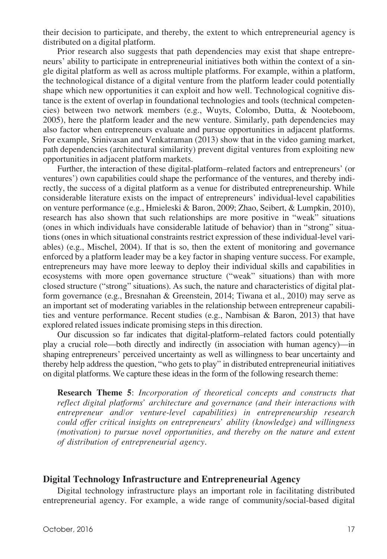their decision to participate, and thereby, the extent to which entrepreneurial agency is distributed on a digital platform.

Prior research also suggests that path dependencies may exist that shape entrepreneurs' ability to participate in entrepreneurial initiatives both within the context of a single digital platform as well as across multiple platforms. For example, within a platform, the technological distance of a digital venture from the platform leader could potentially shape which new opportunities it can exploit and how well. Technological cognitive distance is the extent of overlap in foundational technologies and tools (technical competencies) between two network members (e.g., Wuyts, Colombo, Dutta, & Nooteboom, 2005), here the platform leader and the new venture. Similarly, path dependencies may also factor when entrepreneurs evaluate and pursue opportunities in adjacent platforms. For example, Srinivasan and Venkatraman (2013) show that in the video gaming market, path dependencies (architectural similarity) prevent digital ventures from exploiting new opportunities in adjacent platform markets.

Further, the interaction of these digital-platform–related factors and entrepreneurs' (or ventures') own capabilities could shape the performance of the ventures, and thereby indirectly, the success of a digital platform as a venue for distributed entrepreneurship. While considerable literature exists on the impact of entrepreneurs' individual-level capabilities on venture performance (e.g., Hmieleski & Baron, 2009; Zhao, Seibert, & Lumpkin, 2010), research has also shown that such relationships are more positive in "weak" situations (ones in which individuals have considerable latitude of behavior) than in "strong" situations (ones in which situational constraints restrict expression of these individual-level variables) (e.g., Mischel, 2004). If that is so, then the extent of monitoring and governance enforced by a platform leader may be a key factor in shaping venture success. For example, entrepreneurs may have more leeway to deploy their individual skills and capabilities in ecosystems with more open governance structure ("weak" situations) than with more closed structure ("strong" situations). As such, the nature and characteristics of digital platform governance (e.g., Bresnahan & Greenstein, 2014; Tiwana et al., 2010) may serve as an important set of moderating variables in the relationship between entrepreneur capabilities and venture performance. Recent studies (e.g., Nambisan & Baron, 2013) that have explored related issues indicate promising steps in this direction.

Our discussion so far indicates that digital-platform–related factors could potentially play a crucial role—both directly and indirectly (in association with human agency)—in shaping entrepreneurs' perceived uncertainty as well as willingness to bear uncertainty and thereby help address the question, "who gets to play" in distributed entrepreneurial initiatives on digital platforms. We capture these ideas in the form of the following research theme:

Research Theme 5: Incorporation of theoretical concepts and constructs that reflect digital platforms' architecture and governance (and their interactions with entrepreneur and/or venture-level capabilities) in entrepreneurship research could offer critical insights on entrepreneurs' ability (knowledge) and willingness (motivation) to pursue novel opportunities, and thereby on the nature and extent of distribution of entrepreneurial agency.

## Digital Technology Infrastructure and Entrepreneurial Agency

Digital technology infrastructure plays an important role in facilitating distributed entrepreneurial agency. For example, a wide range of community/social-based digital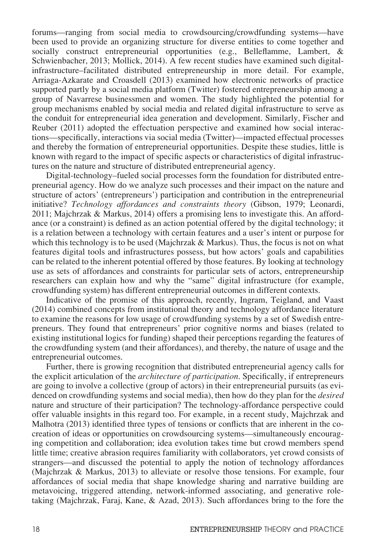forums—ranging from social media to crowdsourcing/crowdfunding systems—have been used to provide an organizing structure for diverse entities to come together and socially construct entrepreneurial opportunities (e.g., Belleflamme, Lambert, & Schwienbacher, 2013; Mollick, 2014). A few recent studies have examined such digitalinfrastructure–facilitated distributed entrepreneurship in more detail. For example, Arriaga-Azkarate and Croasdell (2013) examined how electronic networks of practice supported partly by a social media platform (Twitter) fostered entrepreneurship among a group of Navarrese businessmen and women. The study highlighted the potential for group mechanisms enabled by social media and related digital infrastructure to serve as the conduit for entrepreneurial idea generation and development. Similarly, Fischer and Reuber (2011) adopted the effectuation perspective and examined how social interactions—specifically, interactions via social media (Twitter)—impacted effectual processes and thereby the formation of entrepreneurial opportunities. Despite these studies, little is known with regard to the impact of specific aspects or characteristics of digital infrastructures on the nature and structure of distributed entrepreneurial agency.

Digital-technology–fueled social processes form the foundation for distributed entrepreneurial agency. How do we analyze such processes and their impact on the nature and structure of actors' (entrepreneurs') participation and contribution in the entrepreneurial initiative? Technology affordances and constraints theory (Gibson, 1979; Leonardi, 2011; Majchrzak & Markus, 2014) offers a promising lens to investigate this. An affordance (or a constraint) is defined as an action potential offered by the digital technology; it is a relation between a technology with certain features and a user's intent or purpose for which this technology is to be used (Majchrzak  $\&$  Markus). Thus, the focus is not on what features digital tools and infrastructures possess, but how actors' goals and capabilities can be related to the inherent potential offered by those features. By looking at technology use as sets of affordances and constraints for particular sets of actors, entrepreneurship researchers can explain how and why the "same" digital infrastructure (for example, crowdfunding system) has different entrepreneurial outcomes in different contexts.

Indicative of the promise of this approach, recently, Ingram, Teigland, and Vaast (2014) combined concepts from institutional theory and technology affordance literature to examine the reasons for low usage of crowdfunding systems by a set of Swedish entrepreneurs. They found that entrepreneurs' prior cognitive norms and biases (related to existing institutional logics for funding) shaped their perceptions regarding the features of the crowdfunding system (and their affordances), and thereby, the nature of usage and the entrepreneurial outcomes.

Further, there is growing recognition that distributed entrepreneurial agency calls for the explicit articulation of the *architecture of participation*. Specifically, if entrepreneurs are going to involve a collective (group of actors) in their entrepreneurial pursuits (as evidenced on crowdfunding systems and social media), then how do they plan for the desired nature and structure of their participation? The technology-affordance perspective could offer valuable insights in this regard too. For example, in a recent study, Majchrzak and Malhotra (2013) identified three types of tensions or conflicts that are inherent in the cocreation of ideas or opportunities on crowdsourcing systems—simultaneously encouraging competition and collaboration; idea evolution takes time but crowd members spend little time; creative abrasion requires familiarity with collaborators, yet crowd consists of strangers—and discussed the potential to apply the notion of technology affordances (Majchrzak & Markus, 2013) to alleviate or resolve those tensions. For example, four affordances of social media that shape knowledge sharing and narrative building are metavoicing, triggered attending, network-informed associating, and generative roletaking (Majchrzak, Faraj, Kane, & Azad, 2013). Such affordances bring to the fore the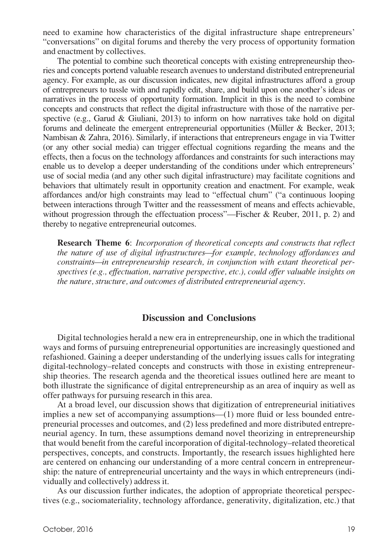need to examine how characteristics of the digital infrastructure shape entrepreneurs' "conversations" on digital forums and thereby the very process of opportunity formation and enactment by collectives.

The potential to combine such theoretical concepts with existing entrepreneurship theories and concepts portend valuable research avenues to understand distributed entrepreneurial agency. For example, as our discussion indicates, new digital infrastructures afford a group of entrepreneurs to tussle with and rapidly edit, share, and build upon one another's ideas or narratives in the process of opportunity formation. Implicit in this is the need to combine concepts and constructs that reflect the digital infrastructure with those of the narrative perspective (e.g., Garud & Giuliani, 2013) to inform on how narratives take hold on digital forums and delineate the emergent entrepreneurial opportunities (Müller  $\&$  Becker, 2013; Nambisan & Zahra, 2016). Similarly, if interactions that entrepreneurs engage in via Twitter (or any other social media) can trigger effectual cognitions regarding the means and the effects, then a focus on the technology affordances and constraints for such interactions may enable us to develop a deeper understanding of the conditions under which entrepreneurs' use of social media (and any other such digital infrastructure) may facilitate cognitions and behaviors that ultimately result in opportunity creation and enactment. For example, weak affordances and/or high constraints may lead to "effectual churn" ("a continuous looping between interactions through Twitter and the reassessment of means and effects achievable, without progression through the effectuation process"—Fischer & Reuber, 2011, p. 2) and thereby to negative entrepreneurial outcomes.

Research Theme 6: Incorporation of theoretical concepts and constructs that reflect the nature of use of digital infrastructures—for example, technology affordances and constraints—in entrepreneurship research, in conjunction with extant theoretical perspectives (e.g., effectuation, narrative perspective, etc.), could offer valuable insights on the nature, structure, and outcomes of distributed entrepreneurial agency.

## Discussion and Conclusions

Digital technologies herald a new era in entrepreneurship, one in which the traditional ways and forms of pursuing entrepreneurial opportunities are increasingly questioned and refashioned. Gaining a deeper understanding of the underlying issues calls for integrating digital-technology–related concepts and constructs with those in existing entrepreneurship theories. The research agenda and the theoretical issues outlined here are meant to both illustrate the significance of digital entrepreneurship as an area of inquiry as well as offer pathways for pursuing research in this area.

At a broad level, our discussion shows that digitization of entrepreneurial initiatives implies a new set of accompanying assumptions—(1) more fluid or less bounded entrepreneurial processes and outcomes, and (2) less predefined and more distributed entrepreneurial agency. In turn, these assumptions demand novel theorizing in entrepreneurship that would benefit from the careful incorporation of digital-technology–related theoretical perspectives, concepts, and constructs. Importantly, the research issues highlighted here are centered on enhancing our understanding of a more central concern in entrepreneurship: the nature of entrepreneurial uncertainty and the ways in which entrepreneurs (individually and collectively) address it.

As our discussion further indicates, the adoption of appropriate theoretical perspectives (e.g., sociomateriality, technology affordance, generativity, digitalization, etc.) that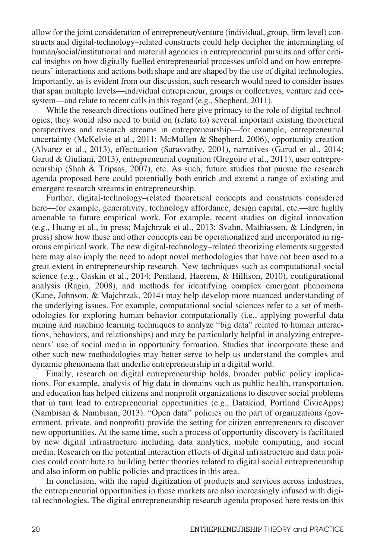allow for the joint consideration of entrepreneur/venture (individual, group, firm level) constructs and digital-technology–related constructs could help decipher the intermingling of human/social/institutional and material agencies in entrepreneurial pursuits and offer critical insights on how digitally fuelled entrepreneurial processes unfold and on how entrepreneurs' interactions and actions both shape and are shaped by the use of digital technologies. Importantly, as is evident from our discussion, such research would need to consider issues that span multiple levels—individual entrepreneur, groups or collectives, venture and ecosystem—and relate to recent calls in this regard (e.g., Shepherd, 2011).

While the research directions outlined here give primacy to the role of digital technologies, they would also need to build on (relate to) several important existing theoretical perspectives and research streams in entrepreneurship—for example, entrepreneurial uncertainty (McKelvie et al., 2011; McMullen & Shepherd, 2006), opportunity creation (Alvarez et al., 2013), effectuation (Sarasvathy, 2001), narratives (Garud et al., 2014; Garud & Giuliani, 2013), entrepreneurial cognition (Gregoire et al., 2011), user entrepreneurship (Shah & Tripsas, 2007), etc. As such, future studies that pursue the research agenda proposed here could potentially both enrich and extend a range of existing and emergent research streams in entrepreneurship.

Further, digital-technology–related theoretical concepts and constructs considered here—for example, generativity, technology affordance, design capital, etc.—are highly amenable to future empirical work. For example, recent studies on digital innovation (e.g., Huang et al., in press; Majchrzak et al., 2013; Svahn, Mathiassen, & Lindgren, in press) show how these and other concepts can be operationalized and incorporated in rigorous empirical work. The new digital-technology–related theorizing elements suggested here may also imply the need to adopt novel methodologies that have not been used to a great extent in entrepreneurship research. New techniques such as computational social science (e.g., Gaskin et al., 2014; Pentland, Haerem, & Hillison, 2010), configurational analysis (Ragin, 2008), and methods for identifying complex emergent phenomena (Kane, Johnson, & Majchrzak, 2014) may help develop more nuanced understanding of the underlying issues. For example, computational social sciences refer to a set of methodologies for exploring human behavior computationally (i.e., applying powerful data mining and machine learning techniques to analyze "big data" related to human interactions, behaviors, and relationships) and may be particularly helpful in analyzing entrepreneurs' use of social media in opportunity formation. Studies that incorporate these and other such new methodologies may better serve to help us understand the complex and dynamic phenomena that underlie entrepreneurship in a digital world.

Finally, research on digital entrepreneurship holds, broader public policy implications. For example, analysis of big data in domains such as public health, transportation, and education has helped citizens and nonprofit organizations to discover social problems that in turn lead to entrepreneurial opportunities (e.g., Datakind, Portland CivicApps) (Nambisan & Nambisan, 2013). "Open data" policies on the part of organizations (government, private, and nonprofit) provide the setting for citizen entrepreneurs to discover new opportunities. At the same time, such a process of opportunity discovery is facilitated by new digital infrastructure including data analytics, mobile computing, and social media. Research on the potential interaction effects of digital infrastructure and data policies could contribute to building better theories related to digital social entrepreneurship and also inform on public policies and practices in this area.

In conclusion, with the rapid digitization of products and services across industries, the entrepreneurial opportunities in these markets are also increasingly infused with digital technologies. The digital entrepreneurship research agenda proposed here rests on this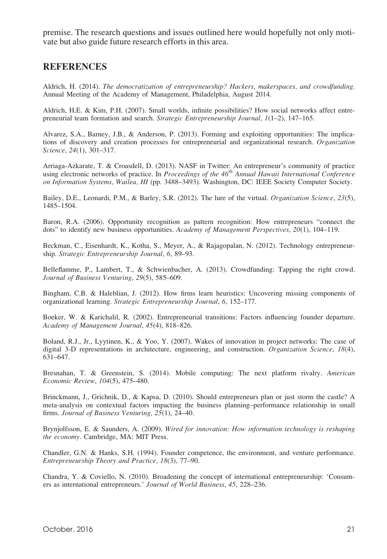premise. The research questions and issues outlined here would hopefully not only motivate but also guide future research efforts in this area.

## REFERENCES

Aldrich, H. (2014). The democratization of entrepreneurship? Hackers, makerspaces, and crowdfunding. Annual Meeting of the Academy of Management, Philadelphia, August 2014.

Aldrich, H.E. & Kim, P.H. (2007). Small worlds, infinite possibilities? How social networks affect entrepreneurial team formation and search. Strategic Entrepreneurship Journal, 1(1–2), 147–165.

Alvarez, S.A., Barney, J.B., & Anderson, P. (2013). Forming and exploiting opportunities: The implications of discovery and creation processes for entrepreneurial and organizational research. Organization Science, 24(1), 301–317.

Arriaga-Azkarate, T. & Croasdell, D. (2013). NASF in Twitter: An entrepreneur's community of practice using electronic networks of practice. In Proceedings of the 46<sup>th</sup> Annual Hawaii International Conference on Information Systems, Wailea, HI (pp. 3488–3493). Washington, DC: IEEE Society Computer Society.

Bailey, D.E., Leonardi, P.M., & Barley, S.R. (2012). The lure of the virtual. Organization Science, 23(5), 1485–1504.

Baron, R.A. (2006). Opportunity recognition as pattern recognition: How entrepreneurs "connect the dots" to identify new business opportunities. Academy of Management Perspectives, 20(1), 104–119.

Beckman, C., Eisenhardt, K., Kotha, S., Meyer, A., & Rajagopalan, N. (2012). Technology entrepreneurship. Strategic Entrepreneurship Journal, 6, 89–93.

Belleflamme, P., Lambert, T., & Schwienbacher, A. (2013). Crowdfunding: Tapping the right crowd. Journal of Business Venturing, 29(5), 585–609.

Bingham, C.B. & Haleblian, J. (2012). How firms learn heuristics: Uncovering missing components of organizational learning. Strategic Entrepreneurship Journal, 6, 152–177.

Boeker, W. & Karichalil, R. (2002). Entrepreneurial transitions: Factors influencing founder departure. Academy of Management Journal, 45(4), 818–826.

Boland, R.J., Jr., Lyytinen, K., & Yoo, Y. (2007). Wakes of innovation in project networks: The case of digital 3-D representations in architecture, engineering, and construction. Organization Science, 18(4), 631–647.

Bresnahan, T. & Greenstein, S. (2014). Mobile computing: The next platform rivalry. American Economic Review, 104(5), 475–480.

Brinckmann, J., Grichnik, D., & Kapsa, D. (2010). Should entrepreneurs plan or just storm the castle? A meta-analysis on contextual factors impacting the business planning–performance relationship in small firms. Journal of Business Venturing,  $25(1)$ ,  $24-40$ .

Brynjolfsson, E. & Saunders, A. (2009). Wired for innovation: How information technology is reshaping the economy. Cambridge, MA: MIT Press.

Chandler, G.N. & Hanks, S.H. (1994). Founder competence, the environment, and venture performance. Entrepreneurship Theory and Practice, 18(3), 77–90.

Chandra, Y. & Coviello, N. (2010). Broadening the concept of international entrepreneurship: 'Consumers as international entrepreneurs.' Journal of World Business, 45, 228–236.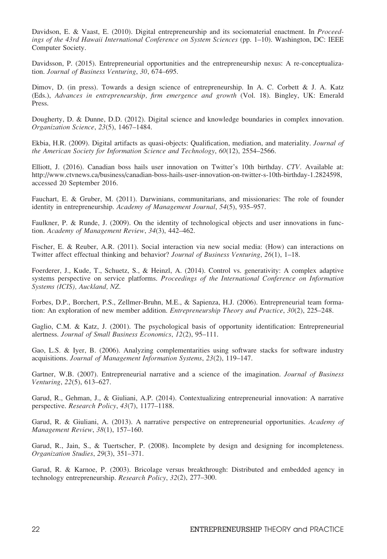Davidson, E. & Vaast, E. (2010). Digital entrepreneurship and its sociomaterial enactment. In Proceedings of the 43rd Hawaii International Conference on System Sciences (pp. 1–10). Washington, DC: IEEE Computer Society.

Davidsson, P. (2015). Entrepreneurial opportunities and the entrepreneurship nexus: A re-conceptualization. Journal of Business Venturing, 30, 674–695.

Dimov, D. (in press). Towards a design science of entrepreneurship. In A. C. Corbett & J. A. Katz (Eds.), Advances in entrepreneurship, firm emergence and growth (Vol. 18). Bingley, UK: Emerald Press.

Dougherty, D. & Dunne, D.D. (2012). Digital science and knowledge boundaries in complex innovation. Organization Science, 23(5), 1467–1484.

Ekbia, H.R. (2009). Digital artifacts as quasi-objects: Qualification, mediation, and materiality. Journal of the American Society for Information Science and Technology, 60(12), 2554–2566.

Elliott, J. (2016). Canadian boss hails user innovation on Twitter's 10th birthday. CTV. Available at: [http://www.ctvnews.ca/business/canadian-boss-hails-user-innovation-on-twitter-s-10th-birthday-1.2824598,](http://www.ctvnews.ca/business/canadian-boss-hails-user-innovation-on-twitter-s-10th-birthday-1.2824598) accessed 20 September 2016.

Fauchart, E. & Gruber, M. (2011). Darwinians, communitarians, and missionaries: The role of founder identity in entrepreneurship. Academy of Management Journal, 54(5), 935–957.

Faulkner, P. & Runde, J. (2009). On the identity of technological objects and user innovations in function. Academy of Management Review, 34(3), 442–462.

Fischer, E. & Reuber, A.R. (2011). Social interaction via new social media: (How) can interactions on Twitter affect effectual thinking and behavior? Journal of Business Venturing, 26(1), 1–18.

Foerderer, J., Kude, T., Schuetz, S., & Heinzl, A. (2014). Control vs. generativity: A complex adaptive systems perspective on service platforms. Proceedings of the International Conference on Information Systems (ICIS), Auckland, NZ.

Forbes, D.P., Borchert, P.S., Zellmer-Bruhn, M.E., & Sapienza, H.J. (2006). Entrepreneurial team formation: An exploration of new member addition. *Entrepreneurship Theory and Practice*, 30(2), 225–248.

Gaglio, C.M. & Katz, J. (2001). The psychological basis of opportunity identification: Entrepreneurial alertness. Journal of Small Business Economics, 12(2), 95–111.

Gao, L.S. & Iyer, B. (2006). Analyzing complementarities using software stacks for software industry acquisitions. Journal of Management Information Systems, 23(2), 119–147.

Gartner, W.B. (2007). Entrepreneurial narrative and a science of the imagination. Journal of Business Venturing, 22(5), 613–627.

Garud, R., Gehman, J., & Giuliani, A.P. (2014). Contextualizing entrepreneurial innovation: A narrative perspective. Research Policy, 43(7), 1177–1188.

Garud, R. & Giuliani, A. (2013). A narrative perspective on entrepreneurial opportunities. Academy of Management Review, 38(1), 157–160.

Garud, R., Jain, S., & Tuertscher, P. (2008). Incomplete by design and designing for incompleteness. Organization Studies, 29(3), 351–371.

Garud, R. & Karnoe, P. (2003). Bricolage versus breakthrough: Distributed and embedded agency in technology entrepreneurship. Research Policy, 32(2), 277–300.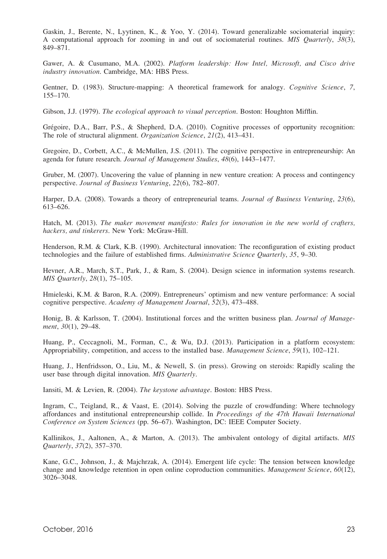Gaskin, J., Berente, N., Lyytinen, K., & Yoo, Y. (2014). Toward generalizable sociomaterial inquiry: A computational approach for zooming in and out of sociomaterial routines. MIS Quarterly,  $38(3)$ , 849–871.

Gawer, A. & Cusumano, M.A. (2002). Platform leadership: How Intel, Microsoft, and Cisco drive industry innovation. Cambridge, MA: HBS Press.

Gentner, D. (1983). Structure-mapping: A theoretical framework for analogy. Cognitive Science, 7, 155–170.

Gibson, J.J. (1979). The ecological approach to visual perception. Boston: Houghton Mifflin.

Grégoire, D.A., Barr, P.S., & Shepherd, D.A. (2010). Cognitive processes of opportunity recognition: The role of structural alignment. Organization Science, 21(2), 413–431.

Gregoire, D., Corbett, A.C., & McMullen, J.S. (2011). The cognitive perspective in entrepreneurship: An agenda for future research. Journal of Management Studies, 48(6), 1443–1477.

Gruber, M. (2007). Uncovering the value of planning in new venture creation: A process and contingency perspective. Journal of Business Venturing, 22(6), 782–807.

Harper, D.A. (2008). Towards a theory of entrepreneurial teams. Journal of Business Venturing, 23(6), 613–626.

Hatch, M. (2013). The maker movement manifesto: Rules for innovation in the new world of crafters, hackers, and tinkerers. New York: McGraw-Hill.

Henderson, R.M. & Clark, K.B. (1990). Architectural innovation: The reconfiguration of existing product technologies and the failure of established firms. Administrative Science Quarterly, 35, 9–30.

Hevner, A.R., March, S.T., Park, J., & Ram, S. (2004). Design science in information systems research. MIS Quarterly, 28(1), 75–105.

Hmieleski, K.M. & Baron, R.A. (2009). Entrepreneurs' optimism and new venture performance: A social cognitive perspective. Academy of Management Journal, 52(3), 473–488.

Honig, B. & Karlsson, T. (2004). Institutional forces and the written business plan. *Journal of Manage*ment, 30(1), 29–48.

Huang, P., Ceccagnoli, M., Forman, C., & Wu, D.J. (2013). Participation in a platform ecosystem: Appropriability, competition, and access to the installed base. *Management Science*, 59(1), 102–121.

Huang, J., Henfridsson, O., Liu, M., & Newell, S. (in press). Growing on steroids: Rapidly scaling the user base through digital innovation. MIS Quarterly.

Iansiti, M. & Levien, R. (2004). The keystone advantage. Boston: HBS Press.

Ingram, C., Teigland, R., & Vaast, E. (2014). Solving the puzzle of crowdfunding: Where technology affordances and institutional entrepreneurship collide. In Proceedings of the 47th Hawaii International Conference on System Sciences (pp. 56–67). Washington, DC: IEEE Computer Society.

Kallinikos, J., Aaltonen, A., & Marton, A. (2013). The ambivalent ontology of digital artifacts. MIS Quarterly, 37(2), 357–370.

Kane, G.C., Johnson, J., & Majchrzak, A. (2014). Emergent life cycle: The tension between knowledge change and knowledge retention in open online coproduction communities. *Management Science*, 60(12), 3026–3048.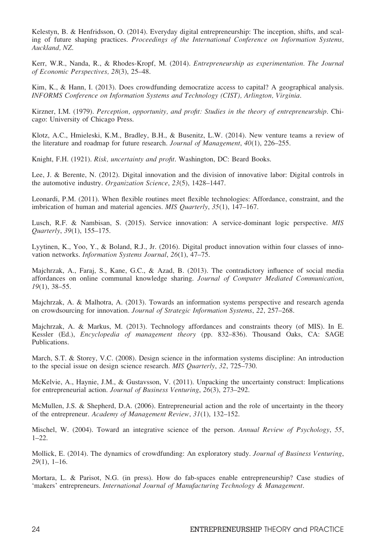Kelestyn, B. & Henfridsson, O. (2014). Everyday digital entrepreneurship: The inception, shifts, and scaling of future shaping practices. Proceedings of the International Conference on Information Systems, Auckland, NZ.

Kerr, W.R., Nanda, R., & Rhodes-Kropf, M. (2014). Entrepreneurship as experimentation. The Journal of Economic Perspectives, 28(3), 25–48.

Kim, K., & Hann, I. (2013). Does crowdfunding democratize access to capital? A geographical analysis. INFORMS Conference on Information Systems and Technology (CIST), Arlington, Virginia.

Kirzner, I.M. (1979). Perception, opportunity, and profit: Studies in the theory of entrepreneurship. Chicago: University of Chicago Press.

Klotz, A.C., Hmieleski, K.M., Bradley, B.H., & Busenitz, L.W. (2014). New venture teams a review of the literature and roadmap for future research. Journal of Management, 40(1), 226–255.

Knight, F.H. (1921). Risk, uncertainty and profit. Washington, DC: Beard Books.

Lee, J. & Berente, N. (2012). Digital innovation and the division of innovative labor: Digital controls in the automotive industry. Organization Science, 23(5), 1428–1447.

Leonardi, P.M. (2011). When flexible routines meet flexible technologies: Affordance, constraint, and the imbrication of human and material agencies. MIS Quarterly, 35(1), 147–167.

Lusch, R.F. & Nambisan, S. (2015). Service innovation: A service-dominant logic perspective. MIS Quarterly, 39(1), 155–175.

Lyytinen, K., Yoo, Y., & Boland, R.J., Jr. (2016). Digital product innovation within four classes of innovation networks. Information Systems Journal, 26(1), 47–75.

Majchrzak, A., Faraj, S., Kane, G.C., & Azad, B. (2013). The contradictory influence of social media affordances on online communal knowledge sharing. Journal of Computer Mediated Communication, 19(1), 38–55.

Majchrzak, A. & Malhotra, A. (2013). Towards an information systems perspective and research agenda on crowdsourcing for innovation. Journal of Strategic Information Systems, 22, 257–268.

Majchrzak, A. & Markus, M. (2013). Technology affordances and constraints theory (of MIS). In E. Kessler (Ed.), Encyclopedia of management theory (pp. 832–836). Thousand Oaks, CA: SAGE Publications.

March, S.T. & Storey, V.C. (2008). Design science in the information systems discipline: An introduction to the special issue on design science research. MIS Quarterly, 32, 725–730.

McKelvie, A., Haynie, J.M., & Gustavsson, V. (2011). Unpacking the uncertainty construct: Implications for entrepreneurial action. Journal of Business Venturing, 26(3), 273–292.

McMullen, J.S. & Shepherd, D.A. (2006). Entrepreneurial action and the role of uncertainty in the theory of the entrepreneur. Academy of Management Review, 31(1), 132–152.

Mischel, W. (2004). Toward an integrative science of the person. Annual Review of Psychology, 55, 1–22.

Mollick, E. (2014). The dynamics of crowdfunding: An exploratory study. Journal of Business Venturing,  $29(1)$ , 1–16.

Mortara, L. & Parisot, N.G. (in press). How do fab-spaces enable entrepreneurship? Case studies of 'makers' entrepreneurs. International Journal of Manufacturing Technology & Management.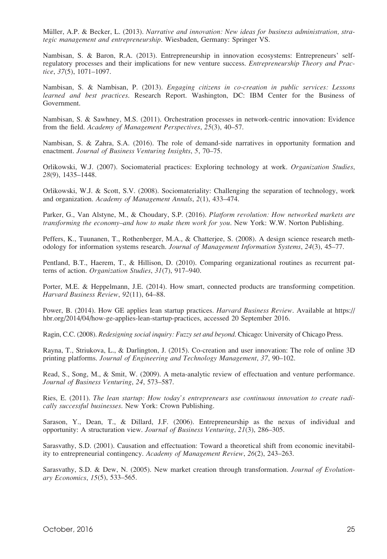Müller, A.P. & Becker, L. (2013). Narrative and innovation: New ideas for business administration, strategic management and entrepreneurship. Wiesbaden, Germany: Springer VS.

Nambisan, S. & Baron, R.A. (2013). Entrepreneurship in innovation ecosystems: Entrepreneurs' selfregulatory processes and their implications for new venture success. Entrepreneurship Theory and Practice, 37(5), 1071–1097.

Nambisan, S. & Nambisan, P. (2013). Engaging citizens in co-creation in public services: Lessons learned and best practices. Research Report. Washington, DC: IBM Center for the Business of Government.

Nambisan, S. & Sawhney, M.S. (2011). Orchestration processes in network-centric innovation: Evidence from the field. Academy of Management Perspectives,  $25(3)$ , 40-57.

Nambisan, S. & Zahra, S.A. (2016). The role of demand-side narratives in opportunity formation and enactment. Journal of Business Venturing Insights, 5, 70–75.

Orlikowski, W.J. (2007). Sociomaterial practices: Exploring technology at work. Organization Studies, 28(9), 1435–1448.

Orlikowski, W.J. & Scott, S.V. (2008). Sociomateriality: Challenging the separation of technology, work and organization. Academy of Management Annals, 2(1), 433–474.

Parker, G., Van Alstyne, M., & Choudary, S.P. (2016). Platform revolution: How networked markets are transforming the economy–and how to make them work for you. New York: W.W. Norton Publishing.

Peffers, K., Tuunanen, T., Rothenberger, M.A., & Chatterjee, S. (2008). A design science research methodology for information systems research. Journal of Management Information Systems, 24(3), 45–77.

Pentland, B.T., Haerem, T., & Hillison, D. (2010). Comparing organizational routines as recurrent patterns of action. Organization Studies, 31(7), 917–940.

Porter, M.E. & Heppelmann, J.E. (2014). How smart, connected products are transforming competition. Harvard Business Review, 92(11), 64–88.

Power, B. (2014). How GE applies lean startup practices. Harvard Business Review. Available at [https://](https://hbr.org/2014/04/how-ge-applies-lean-startup-practices) [hbr.org/2014/04/how-ge-applies-lean-startup-practices](https://hbr.org/2014/04/how-ge-applies-lean-startup-practices), accessed 20 September 2016.

Ragin, C.C. (2008). Redesigning social inquiry: Fuzzy set and beyond. Chicago: University of Chicago Press.

Rayna, T., Striukova, L., & Darlington, J. (2015). Co-creation and user innovation: The role of online 3D printing platforms. Journal of Engineering and Technology Management, 37, 90–102.

Read, S., Song, M., & Smit, W. (2009). A meta-analytic review of effectuation and venture performance. Journal of Business Venturing, 24, 573–587.

Ries, E. (2011). The lean startup: How today's entrepreneurs use continuous innovation to create radically successful businesses. New York: Crown Publishing.

Sarason, Y., Dean, T., & Dillard, J.F. (2006). Entrepreneurship as the nexus of individual and opportunity: A structuration view. Journal of Business Venturing, 21(3), 286–305.

Sarasvathy, S.D. (2001). Causation and effectuation: Toward a theoretical shift from economic inevitability to entrepreneurial contingency. Academy of Management Review, 26(2), 243–263.

Sarasvathy, S.D. & Dew, N. (2005). New market creation through transformation. Journal of Evolutionary Economics, 15(5), 533–565.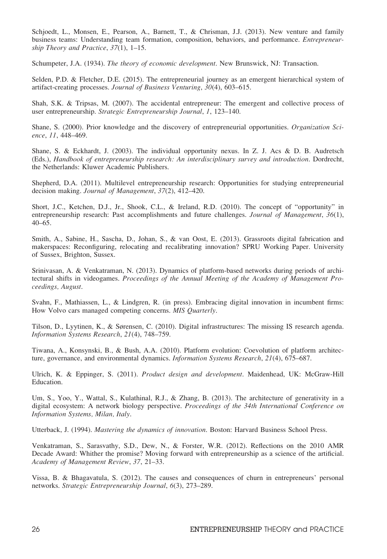Schjoedt, L., Monsen, E., Pearson, A., Barnett, T., & Chrisman, J.J. (2013). New venture and family business teams: Understanding team formation, composition, behaviors, and performance. *Entrepreneur*ship Theory and Practice, 37(1), 1-15.

Schumpeter, J.A. (1934). The theory of economic development. New Brunswick, NJ: Transaction.

Selden, P.D. & Fletcher, D.E. (2015). The entrepreneurial journey as an emergent hierarchical system of artifact-creating processes. Journal of Business Venturing, 30(4), 603–615.

Shah, S.K. & Tripsas, M. (2007). The accidental entrepreneur: The emergent and collective process of user entrepreneurship. Strategic Entrepreneurship Journal, 1, 123–140.

Shane, S. (2000). Prior knowledge and the discovery of entrepreneurial opportunities. Organization Science, 11, 448–469.

Shane, S. & Eckhardt, J. (2003). The individual opportunity nexus. In Z. J. Acs & D. B. Audretsch (Eds.), Handbook of entrepreneurship research: An interdisciplinary survey and introduction. Dordrecht, the Netherlands: Kluwer Academic Publishers.

Shepherd, D.A. (2011). Multilevel entrepreneurship research: Opportunities for studying entrepreneurial decision making. Journal of Management, 37(2), 412–420.

Short, J.C., Ketchen, D.J., Jr., Shook, C.L., & Ireland, R.D. (2010). The concept of "opportunity" in entrepreneurship research: Past accomplishments and future challenges. Journal of Management, 36(1), 40–65.

Smith, A., Sabine, H., Sascha, D., Johan, S., & van Oost, E. (2013). Grassroots digital fabrication and makerspaces: Reconfiguring, relocating and recalibrating innovation? SPRU Working Paper. University of Sussex, Brighton, Sussex.

Srinivasan, A. & Venkatraman, N. (2013). Dynamics of platform-based networks during periods of architectural shifts in videogames. Proceedings of the Annual Meeting of the Academy of Management Proceedings, August.

Svahn, F., Mathiassen, L., & Lindgren, R. (in press). Embracing digital innovation in incumbent firms: How Volvo cars managed competing concerns. MIS Quarterly.

Tilson, D., Lyytinen, K., & Sørensen, C. (2010). Digital infrastructures: The missing IS research agenda. Information Systems Research, 21(4), 748–759.

Tiwana, A., Konsynski, B., & Bush, A.A. (2010). Platform evolution: Coevolution of platform architecture, governance, and environmental dynamics. Information Systems Research, 21(4), 675-687.

Ulrich, K. & Eppinger, S. (2011). Product design and development. Maidenhead, UK: McGraw-Hill Education.

Um, S., Yoo, Y., Wattal, S., Kulathinal, R.J., & Zhang, B. (2013). The architecture of generativity in a digital ecosystem: A network biology perspective. Proceedings of the 34th International Conference on Information Systems, Milan, Italy.

Utterback, J. (1994). Mastering the dynamics of innovation. Boston: Harvard Business School Press.

Venkatraman, S., Sarasvathy, S.D., Dew, N., & Forster, W.R. (2012). Reflections on the 2010 AMR Decade Award: Whither the promise? Moving forward with entrepreneurship as a science of the artificial. Academy of Management Review, 37, 21–33.

Vissa, B. & Bhagavatula, S. (2012). The causes and consequences of churn in entrepreneurs' personal networks. Strategic Entrepreneurship Journal, 6(3), 273–289.